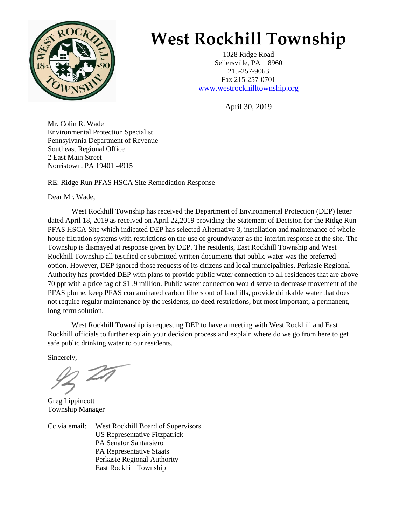

## **West Rockhill Township**

1028 Ridge Road Sellersville, PA 18960 215-257-9063 Fax 215-257-0701 [www.westrockhilltownship.org](http://www.westrockhilltownship.org/)

April 30, 2019

Mr. Colin R. Wade Environmental Protection Specialist Pennsylvania Department of Revenue Southeast Regional Office 2 East Main Street Norristown, PA 19401 -4915

RE: Ridge Run PFAS HSCA Site Remediation Response

Dear Mr. Wade,

West Rockhill Township has received the Department of Environmental Protection (DEP) letter dated April 18, 2019 as received on April 22,2019 providing the Statement of Decision for the Ridge Run PFAS HSCA Site which indicated DEP has selected Alternative 3, installation and maintenance of wholehouse filtration systems with restrictions on the use of groundwater as the interim response at the site. The Township is dismayed at response given by DEP. The residents, East Rockhill Township and West Rockhill Township all testified or submitted written documents that public water was the preferred option. However, DEP ignored those requests of its citizens and local municipalities. Perkasie Regional Authority has provided DEP with plans to provide public water connection to all residences that are above 70 ppt with a price tag of \$1 .9 million. Public water connection would serve to decrease movement of the PFAS plume, keep PFAS contaminated carbon filters out of landfills, provide drinkable water that does not require regular maintenance by the residents, no deed restrictions, but most important, a permanent, long-term solution.

West Rockhill Township is requesting DEP to have a meeting with West Rockhill and East Rockhill officials to further explain your decision process and explain where do we go from here to get safe public drinking water to our residents.

Sincerely,

Greg Lippincott Township Manager

Cc via email: West Rockhill Board of Supervisors US Representative Fitzpatrick PA Senator Santarsiero PA Representative Staats Perkasie Regional Authority East Rockhill Township